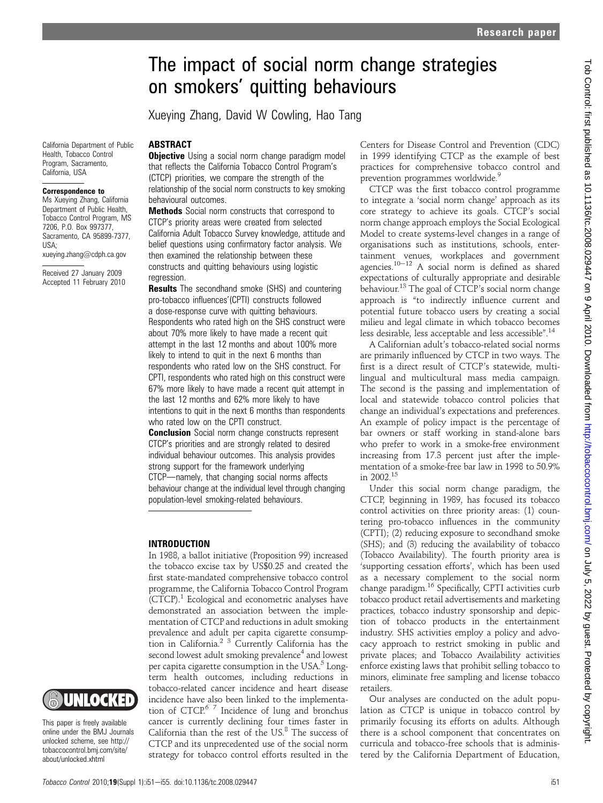# The impact of social norm change strategies on smokers' quitting behaviours

Xueying Zhang, David W Cowling, Hao Tang

California Department of Public Health, Tobacco Control Program, Sacramento, California, USA

#### Correspondence to

Ms Xueying Zhang, California Department of Public Health, Tobacco Control Program, MS 7206, P.O. Box 997377, Sacramento, CA 95899-7377 USA;

xueying.zhang@cdph.ca.gov

Received 27 January 2009 Accepted 11 February 2010

#### ABSTRACT

**Objective** Using a social norm change paradigm model that reflects the California Tobacco Control Program's (CTCP) priorities, we compare the strength of the relationship of the social norm constructs to key smoking behavioural outcomes.

**Methods** Social norm constructs that correspond to CTCP's priority areas were created from selected California Adult Tobacco Survey knowledge, attitude and belief questions using confirmatory factor analysis. We then examined the relationship between these constructs and quitting behaviours using logistic regression.

**Results** The secondhand smoke (SHS) and countering pro-tobacco influences'(CPTI) constructs followed a dose-response curve with quitting behaviours. Respondents who rated high on the SHS construct were about 70% more likely to have made a recent quit attempt in the last 12 months and about 100% more likely to intend to quit in the next 6 months than respondents who rated low on the SHS construct. For CPTI, respondents who rated high on this construct were 67% more likely to have made a recent quit attempt in the last 12 months and 62% more likely to have intentions to quit in the next 6 months than respondents who rated low on the CPTI construct.

**Conclusion** Social norm change constructs represent CTCP's priorities and are strongly related to desired individual behaviour outcomes. This analysis provides strong support for the framework underlying CTCP-namely, that changing social norms affects behaviour change at the individual level through changing population-level smoking-related behaviours.

### INTRODUCTION

In 1988, a ballot initiative (Proposition 99) increased the tobacco excise tax by US\$0.25 and created the first state-mandated comprehensive tobacco control programme, the California Tobacco Control Program  $(CTCP).$ <sup>1</sup> Ecological and econometric analyses have demonstrated an association between the implementation of CTCP and reductions in adult smoking prevalence and adult per capita cigarette consumption in California.2 3 Currently California has the second lowest adult smoking prevalence<sup>4</sup> and lowest per capita cigarette consumption in the USA. $5$  Longterm health outcomes, including reductions in tobacco-related cancer incidence and heart disease incidence have also been linked to the implementation of CTCP.<sup>67</sup> Incidence of lung and bronchus cancer is currently declining four times faster in California than the rest of the US.<sup>8</sup> The success of CTCP and its unprecedented use of the social norm strategy for tobacco control efforts resulted in the

Centers for Disease Control and Prevention (CDC) in 1999 identifying CTCP as the example of best practices for comprehensive tobacco control and prevention programmes worldwide.

CTCP was the first tobacco control programme to integrate a 'social norm change' approach as its core strategy to achieve its goals. CTCP's social norm change approach employs the Social Ecological Model to create systems-level changes in a range of organisations such as institutions, schools, entertainment venues, workplaces and government agencies.<sup>10-12</sup> A social norm is defined as shared expectations of culturally appropriate and desirable behaviour.<sup>13</sup> The goal of CTCP's social norm change approach is "to indirectly influence current and potential future tobacco users by creating a social milieu and legal climate in which tobacco becomes less desirable, less acceptable and less accessible".<sup>14</sup>

A Californian adult's tobacco-related social norms are primarily influenced by CTCP in two ways. The first is a direct result of CTCP's statewide, multilingual and multicultural mass media campaign. The second is the passing and implementation of local and statewide tobacco control policies that change an individual's expectations and preferences. An example of policy impact is the percentage of bar owners or staff working in stand-alone bars who prefer to work in a smoke-free environment increasing from 17.3 percent just after the implementation of a smoke-free bar law in 1998 to 50.9% in 2002.15

Under this social norm change paradigm, the CTCP, beginning in 1989, has focused its tobacco control activities on three priority areas: (1) countering pro-tobacco influences in the community (CPTI); (2) reducing exposure to secondhand smoke (SHS); and (3) reducing the availability of tobacco (Tobacco Availability). The fourth priority area is 'supporting cessation efforts', which has been used as a necessary complement to the social norm change paradigm.16 Specifically, CPTI activities curb tobacco product retail advertisements and marketing practices, tobacco industry sponsorship and depiction of tobacco products in the entertainment industry. SHS activities employ a policy and advocacy approach to restrict smoking in public and private places; and Tobacco Availability activities enforce existing laws that prohibit selling tobacco to minors, eliminate free sampling and license tobacco retailers.

Our analyses are conducted on the adult population as CTCP is unique in tobacco control by primarily focusing its efforts on adults. Although there is a school component that concentrates on curricula and tobacco-free schools that is administered by the California Department of Education,

IUNLOCKED

tobaccocontrol.bmj.com/site/ about/unlocked.xhtml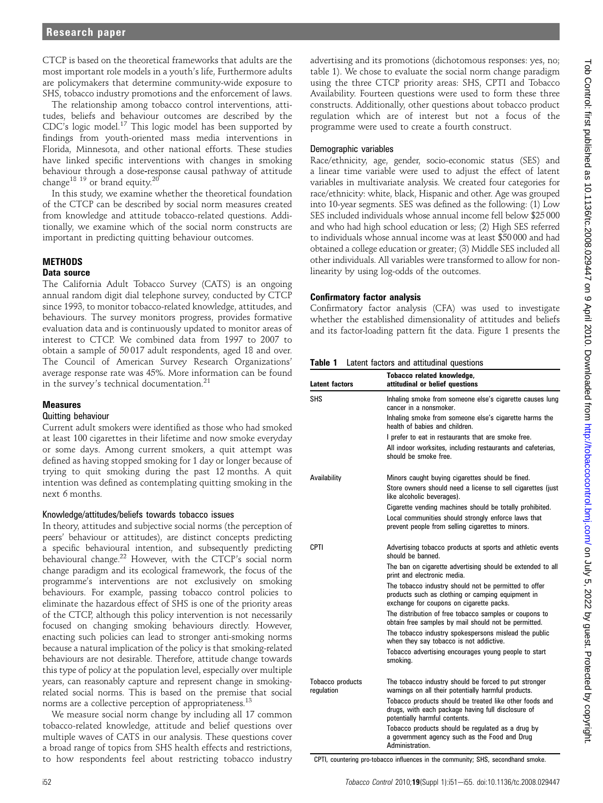CTCP is based on the theoretical frameworks that adults are the most important role models in a youth's life, Furthermore adults are policymakers that determine community-wide exposure to SHS, tobacco industry promotions and the enforcement of laws.

The relationship among tobacco control interventions, attitudes, beliefs and behaviour outcomes are described by the CDC's logic model.<sup>17</sup> This logic model has been supported by findings from youth-oriented mass media interventions in Florida, Minnesota, and other national efforts. These studies have linked specific interventions with changes in smoking behaviour through a dose-response causal pathway of attitude change<sup>18 19</sup> or brand equity.<sup>20</sup>

In this study, we examine whether the theoretical foundation of the CTCP can be described by social norm measures created from knowledge and attitude tobacco-related questions. Additionally, we examine which of the social norm constructs are important in predicting quitting behaviour outcomes.

## **METHODS**

#### Data source

The California Adult Tobacco Survey (CATS) is an ongoing annual random digit dial telephone survey, conducted by CTCP since 1993, to monitor tobacco-related knowledge, attitudes, and behaviours. The survey monitors progress, provides formative evaluation data and is continuously updated to monitor areas of interest to CTCP. We combined data from 1997 to 2007 to obtain a sample of 50 017 adult respondents, aged 18 and over. The Council of American Survey Research Organizations' average response rate was 45%. More information can be found in the survey's technical documentation.<sup>21</sup>

#### Measures

#### Quitting behaviour

Current adult smokers were identified as those who had smoked at least 100 cigarettes in their lifetime and now smoke everyday or some days. Among current smokers, a quit attempt was defined as having stopped smoking for 1 day or longer because of trying to quit smoking during the past 12 months. A quit intention was defined as contemplating quitting smoking in the next 6 months.

#### Knowledge/attitudes/beliefs towards tobacco issues

In theory, attitudes and subjective social norms (the perception of peers' behaviour or attitudes), are distinct concepts predicting a specific behavioural intention, and subsequently predicting behavioural change.<sup>22</sup> However, with the CTCP's social norm change paradigm and its ecological framework, the focus of the programme's interventions are not exclusively on smoking behaviours. For example, passing tobacco control policies to eliminate the hazardous effect of SHS is one of the priority areas of the CTCP, although this policy intervention is not necessarily focused on changing smoking behaviours directly. However, enacting such policies can lead to stronger anti-smoking norms because a natural implication of the policy is that smoking-related behaviours are not desirable. Therefore, attitude change towards this type of policy at the population level, especially over multiple years, can reasonably capture and represent change in smokingrelated social norms. This is based on the premise that social norms are a collective perception of appropriateness.<sup>13</sup>

We measure social norm change by including all 17 common tobacco-related knowledge, attitude and belief questions over multiple waves of CATS in our analysis. These questions cover a broad range of topics from SHS health effects and restrictions, to how respondents feel about restricting tobacco industry

advertising and its promotions (dichotomous responses: yes, no; table 1). We chose to evaluate the social norm change paradigm using the three CTCP priority areas: SHS, CPTI and Tobacco Availability. Fourteen questions were used to form these three constructs. Additionally, other questions about tobacco product regulation which are of interest but not a focus of the programme were used to create a fourth construct.

### Demographic variables

Race/ethnicity, age, gender, socio-economic status (SES) and a linear time variable were used to adjust the effect of latent variables in multivariate analysis. We created four categories for race/ethnicity: white, black, Hispanic and other. Age was grouped into 10-year segments. SES was defined as the following: (1) Low SES included individuals whose annual income fell below \$25 000 and who had high school education or less; (2) High SES referred to individuals whose annual income was at least \$50 000 and had obtained a college education or greater; (3) Middle SES included all other individuals. All variables were transformed to allow for nonlinearity by using log-odds of the outcomes.

#### Confirmatory factor analysis

Confirmatory factor analysis (CFA) was used to investigate whether the established dimensionality of attitudes and beliefs and its factor-loading pattern fit the data. Figure 1 presents the

|  |  |  |  | Table 1 Latent factors and attitudinal questions |  |
|--|--|--|--|--------------------------------------------------|--|
|--|--|--|--|--------------------------------------------------|--|

| <b>Latent factors</b>          | Tobacco related knowledge,<br>attitudinal or belief questions                                                                                          |  |  |  |  |
|--------------------------------|--------------------------------------------------------------------------------------------------------------------------------------------------------|--|--|--|--|
| <b>SHS</b>                     | Inhaling smoke from someone else's cigarette causes lung<br>cancer in a nonsmoker.                                                                     |  |  |  |  |
|                                | Inhaling smoke from someone else's cigarette harms the<br>health of babies and children.                                                               |  |  |  |  |
|                                | I prefer to eat in restaurants that are smoke free.                                                                                                    |  |  |  |  |
|                                | All indoor worksites, including restaurants and cafeterias,<br>should be smoke free.                                                                   |  |  |  |  |
| Availability                   | Minors caught buying cigarettes should be fined.                                                                                                       |  |  |  |  |
|                                | Store owners should need a license to sell cigarettes (just<br>like alcoholic beverages).                                                              |  |  |  |  |
|                                | Cigarette vending machines should be totally prohibited.                                                                                               |  |  |  |  |
|                                | Local communities should strongly enforce laws that<br>prevent people from selling cigarettes to minors.                                               |  |  |  |  |
| <b>CPTI</b>                    | Advertising tobacco products at sports and athletic events<br>should be banned.                                                                        |  |  |  |  |
|                                | The ban on cigarette advertising should be extended to all<br>print and electronic media.                                                              |  |  |  |  |
|                                | The tobacco industry should not be permitted to offer<br>products such as clothing or camping equipment in<br>exchange for coupons on cigarette packs. |  |  |  |  |
|                                | The distribution of free tobacco samples or coupons to<br>obtain free samples by mail should not be permitted.                                         |  |  |  |  |
|                                | The tobacco industry spokespersons mislead the public<br>when they say tobacco is not addictive.                                                       |  |  |  |  |
|                                | Tobacco advertising encourages young people to start<br>smoking.                                                                                       |  |  |  |  |
| Tobacco products<br>regulation | The tobacco industry should be forced to put stronger<br>warnings on all their potentially harmful products.                                           |  |  |  |  |
|                                | Tobacco products should be treated like other foods and<br>drugs, with each package having full disclosure of<br>potentially harmful contents.         |  |  |  |  |
|                                | Tobacco products should be regulated as a drug by<br>a government agency such as the Food and Drug<br>Administration.                                  |  |  |  |  |

CPTI, countering pro-tobacco influences in the community; SHS, secondhand smoke.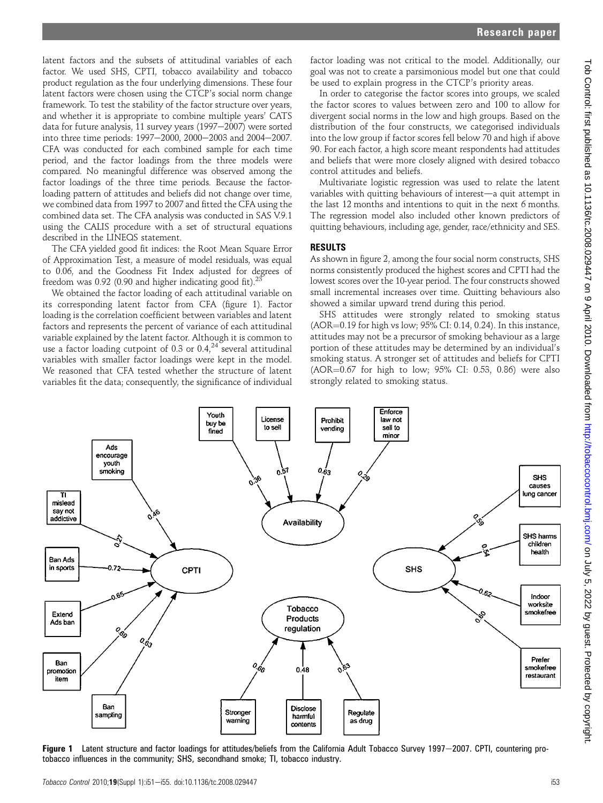latent factors and the subsets of attitudinal variables of each factor. We used SHS, CPTI, tobacco availability and tobacco product regulation as the four underlying dimensions. These four latent factors were chosen using the CTCP's social norm change framework. To test the stability of the factor structure over years, and whether it is appropriate to combine multiple years' CATS data for future analysis, 11 survey years (1997-2007) were sorted into three time periods:  $1997-2000$ ,  $2000-2003$  and  $2004-2007$ . CFA was conducted for each combined sample for each time period, and the factor loadings from the three models were compared. No meaningful difference was observed among the factor loadings of the three time periods. Because the factorloading pattern of attitudes and beliefs did not change over time, we combined data from 1997 to 2007 and fitted the CFA using the combined data set. The CFA analysis was conducted in SAS V.9.1 using the CALIS procedure with a set of structural equations described in the LINEQS statement.

The CFA yielded good fit indices: the Root Mean Square Error of Approximation Test, a measure of model residuals, was equal to 0.06, and the Goodness Fit Index adjusted for degrees of freedom was  $0.92$  (0.90 and higher indicating good fit).<sup>23</sup>

We obtained the factor loading of each attitudinal variable on its corresponding latent factor from CFA (figure 1). Factor loading is the correlation coefficient between variables and latent factors and represents the percent of variance of each attitudinal variable explained by the latent factor. Although it is common to use a factor loading cutpoint of 0.3 or  $0.4<sup>24</sup>$  several attitudinal variables with smaller factor loadings were kept in the model. We reasoned that CFA tested whether the structure of latent variables fit the data; consequently, the significance of individual

factor loading was not critical to the model. Additionally, our goal was not to create a parsimonious model but one that could be used to explain progress in the CTCP's priority areas.

In order to categorise the factor scores into groups, we scaled the factor scores to values between zero and 100 to allow for divergent social norms in the low and high groups. Based on the distribution of the four constructs, we categorised individuals into the low group if factor scores fell below 70 and high if above 90. For each factor, a high score meant respondents had attitudes and beliefs that were more closely aligned with desired tobacco control attitudes and beliefs.

Multivariate logistic regression was used to relate the latent variables with quitting behaviours of interest-a quit attempt in the last 12 months and intentions to quit in the next 6 months. The regression model also included other known predictors of quitting behaviours, including age, gender, race/ethnicity and SES.

#### RESULTS

As shown in figure 2, among the four social norm constructs, SHS norms consistently produced the highest scores and CPTI had the lowest scores over the 10-year period. The four constructs showed small incremental increases over time. Quitting behaviours also showed a similar upward trend during this period.

SHS attitudes were strongly related to smoking status  $(AOR=0.19$  for high vs low;  $95\%$  CI: 0.14, 0.24). In this instance, attitudes may not be a precursor of smoking behaviour as a large portion of these attitudes may be determined by an individual's smoking status. A stronger set of attitudes and beliefs for CPTI  $(AOR=0.67$  for high to low; 95% CI: 0.53, 0.86) were also strongly related to smoking status.



Figure 1 Latent structure and factor loadings for attitudes/beliefs from the California Adult Tobacco Survey 1997–2007. CPTI, countering protobacco influences in the community; SHS, secondhand smoke; TI, tobacco industry.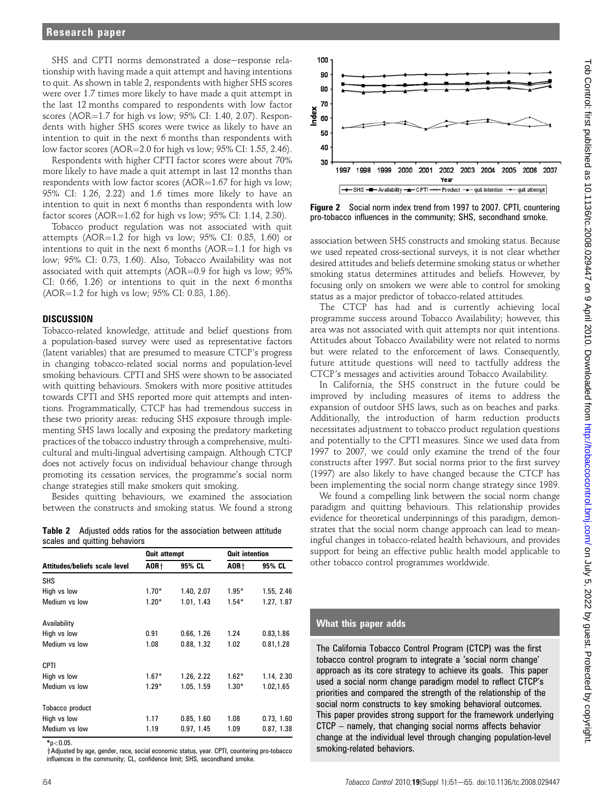SHS and CPTI norms demonstrated a dose-response relationship with having made a quit attempt and having intentions to quit. As shown in table 2, respondents with higher SHS scores were over 1.7 times more likely to have made a quit attempt in the last 12 months compared to respondents with low factor scores (AOR= $1.7$  for high vs low; 95% CI: 1.40, 2.07). Respondents with higher SHS scores were twice as likely to have an intention to quit in the next 6 months than respondents with low factor scores (AOR $=$ 2.0 for high vs low; 95% CI: 1.55, 2.46).

Respondents with higher CPTI factor scores were about 70% more likely to have made a quit attempt in last 12 months than respondents with low factor scores (AOR= $1.67$  for high vs low; 95% CI: 1.26, 2.22) and 1.6 times more likely to have an intention to quit in next 6 months than respondents with low factor scores  $(AOR=1.62$  for high vs low;  $95\%$  CI: 1.14, 2.30).

Tobacco product regulation was not associated with quit attempts (AOR $=$ 1.2 for high vs low; 95% CI: 0.85, 1.60) or intentions to quit in the next 6 months  $(AOR=1.1$  for high vs low; 95% CI: 0.73, 1.60). Also, Tobacco Availability was not associated with quit attempts (AOR= $0.9$  for high vs low;  $95\%$ CI: 0.66, 1.26) or intentions to quit in the next 6 months (AOR=1.2 for high vs low; 95% CI: 0.83, 1.86).

#### **DISCUSSION**

Tobacco-related knowledge, attitude and belief questions from a population-based survey were used as representative factors (latent variables) that are presumed to measure CTCP's progress in changing tobacco-related social norms and population-level smoking behaviours. CPTI and SHS were shown to be associated with quitting behaviours. Smokers with more positive attitudes towards CPTI and SHS reported more quit attempts and intentions. Programmatically, CTCP has had tremendous success in these two priority areas: reducing SHS exposure through implementing SHS laws locally and exposing the predatory marketing practices of the tobacco industry through a comprehensive, multicultural and multi-lingual advertising campaign. Although CTCP does not actively focus on individual behaviour change through promoting its cessation services, the programme's social norm change strategies still make smokers quit smoking.

Besides quitting behaviours, we examined the association between the constructs and smoking status. We found a strong

Table 2 Adjusted odds ratios for the association between attitude scales and quitting behaviors

|                               | <b>Quit attempt</b> |            | <b>Quit intention</b> |            |  |
|-------------------------------|---------------------|------------|-----------------------|------------|--|
| Attitudes/beliefs scale level | AOR+                | 95% CL     | AOR+                  | 95% CL     |  |
| <b>SHS</b>                    |                     |            |                       |            |  |
| High vs low                   | $1.70*$             | 1.40, 2.07 | $1.95*$               | 1.55, 2.46 |  |
| Medium vs low                 | $1.20*$             | 1.01, 1.43 | $1.54*$               | 1.27, 1.87 |  |
| Availability                  |                     |            |                       |            |  |
| High vs low                   | 0.91                | 0.66, 1.26 | 1.24                  | 0.83,1.86  |  |
| Medium vs low                 | 1.08                | 0.88, 1.32 | 1.02                  | 0.81,1.28  |  |
| CPTI                          |                     |            |                       |            |  |
| High vs low                   | $1.67*$             | 1.26, 2.22 | $1.62*$               | 1.14, 2.30 |  |
| Medium vs low                 | $1.29*$             | 1.05, 1.59 | $1.30*$               | 1.02,1.65  |  |
| Tobacco product               |                     |            |                       |            |  |
| High vs low                   | 1.17                | 0.85, 1.60 | 1.08                  | 0.73, 1.60 |  |
| Medium vs low                 | 1.19                | 0.97, 1.45 | 1.09                  | 0.87, 1.38 |  |

 $*_{p<0.05}$ 

 $\dagger$ Adjusted by age, gender, race, social economic status, year. CPTI, countering pro-tobacco influences in the community; CL, confidence limit; SHS, secondhand smoke.



Figure 2 Social norm index trend from 1997 to 2007. CPTI, countering pro-tobacco influences in the community; SHS, secondhand smoke.

association between SHS constructs and smoking status. Because we used repeated cross-sectional surveys, it is not clear whether desired attitudes and beliefs determine smoking status or whether smoking status determines attitudes and beliefs. However, by focusing only on smokers we were able to control for smoking status as a major predictor of tobacco-related attitudes.

The CTCP has had and is currently achieving local programme success around Tobacco Availability; however, this area was not associated with quit attempts nor quit intentions. Attitudes about Tobacco Availability were not related to norms but were related to the enforcement of laws. Consequently, future attitude questions will need to tactfully address the CTCP's messages and activities around Tobacco Availability.

In California, the SHS construct in the future could be improved by including measures of items to address the expansion of outdoor SHS laws, such as on beaches and parks. Additionally, the introduction of harm reduction products necessitates adjustment to tobacco product regulation questions and potentially to the CPTI measures. Since we used data from 1997 to 2007, we could only examine the trend of the four constructs after 1997. But social norms prior to the first survey (1997) are also likely to have changed because the CTCP has been implementing the social norm change strategy since 1989.

We found a compelling link between the social norm change paradigm and quitting behaviours. This relationship provides evidence for theoretical underpinnings of this paradigm, demonstrates that the social norm change approach can lead to meaningful changes in tobacco-related health behaviours, and provides support for being an effective public health model applicable to other tobacco control programmes worldwide.

#### What this paper adds

The California Tobacco Control Program (CTCP) was the first tobacco control program to integrate a 'social norm change' approach as its core strategy to achieve its goals. This paper used a social norm change paradigm model to reflect CTCP's priorities and compared the strength of the relationship of the social norm constructs to key smoking behavioral outcomes. This paper provides strong support for the framework underlying CTCP – namely, that changing social norms affects behavior change at the individual level through changing population-level smoking-related behaviors.